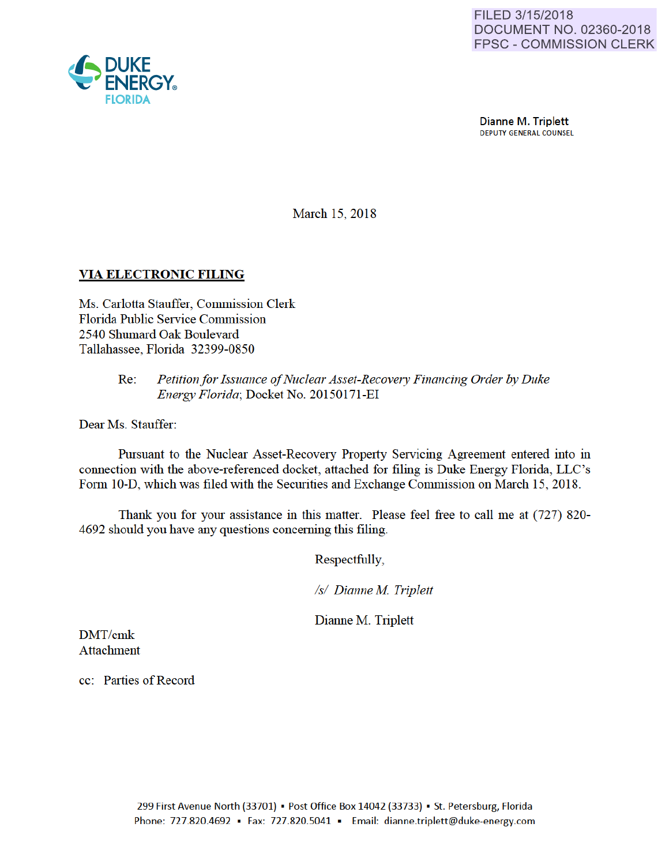

Dianne M. Triplett<br>DEPUTY GENERAL COUNSEL

March 15, 2018

## VIA ELECTRONIC FILING

Ms. Carlotta Stauffer, Commission Clerk Florida Public Service Commission 2540 Shumard Oak Boulevard Tallahassee, Florida 32399-0850

### Re: *Petition for Issuance of Nuclear Asset-Recovery Financing Order by Duke Energy Florida;* Docket No. 20150171-EI

Dear Ms. Stauffer:

Pursuant to the Nuclear Asset-Recovery Property Servicing Agreement entered into in connection with the above-referenced docket, attached for filing is Duke Energy Florida, LLC's Form 10-D, which was filed with the Securities and Exchange Commission on March 15, 2018.

Thank you for yom assistance in this matter. Please feel free to call me at (727) 820- 4692 should you have any questions conceming this filing.

Respectfully,

*Is/ Dianne M Triplett* 

Dianne M. Triplett

DMT/cmk Attachment

cc: Parties of Record

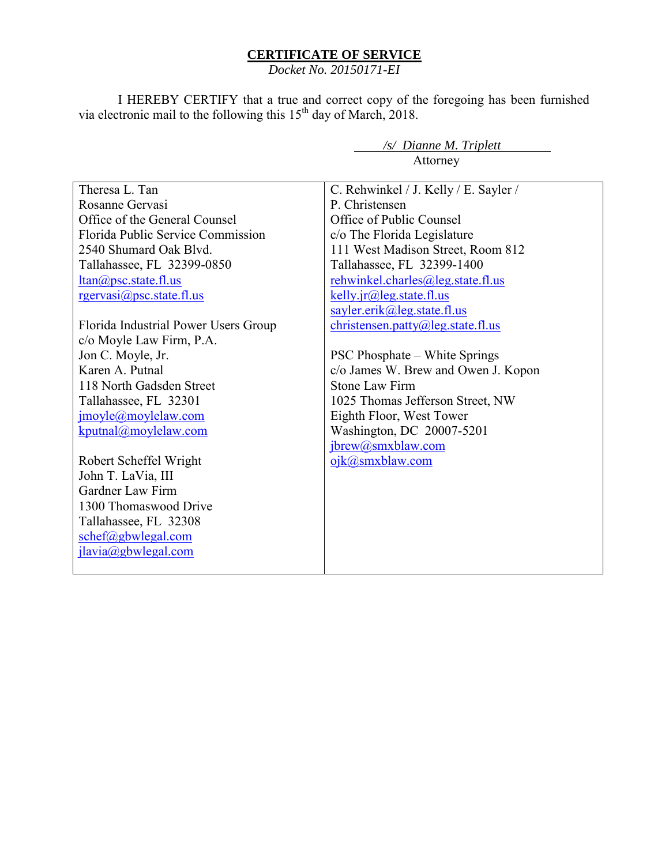## **CERTIFICATE OF SERVICE**

*Docket No. 20150171-EI*

I HEREBY CERTIFY that a true and correct copy of the foregoing has been furnished via electronic mail to the following this  $15<sup>th</sup>$  day of March, 2018.

*/s/ Dianne M. Triplett* 

 Attorney Theresa L. Tan Rosanne Gervasi Office of the General Counsel Florida Public Service Commission 2540 Shumard Oak Blvd. Tallahassee, FL 32399-0850 ltan@psc.state.fl.us rgervasi@psc.state.fl.us Florida Industrial Power Users Group c/o Moyle Law Firm, P.A. Jon C. Moyle, Jr. Karen A. Putnal 118 North Gadsden Street Tallahassee, FL 32301 jmoyle@moylelaw.com kputnal@moylelaw.com Robert Scheffel Wright John T. LaVia, III Gardner Law Firm 1300 Thomaswood Drive Tallahassee, FL 32308 schef@gbwlegal.com jlavia@gbwlegal.com C. Rehwinkel / J. Kelly / E. Sayler / P. Christensen Office of Public Counsel c/o The Florida Legislature 111 West Madison Street, Room 812 Tallahassee, FL 32399-1400 rehwinkel.charles@leg.state.fl.us kelly.jr@leg.state.fl.us sayler.erik@leg.state.fl.us christensen.patty@leg.state.fl.us PSC Phosphate – White Springs c/o James W. Brew and Owen J. Kopon Stone Law Firm 1025 Thomas Jefferson Street, NW Eighth Floor, West Tower Washington, DC 20007-5201 jbrew@smxblaw.com ojk@smxblaw.com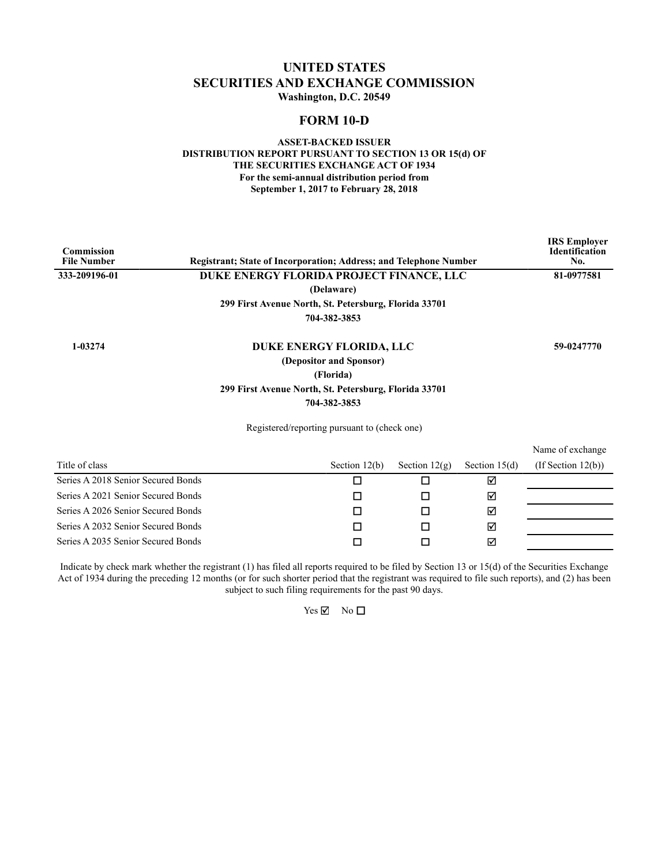### **UNITED STATES SECURITIES AND EXCHANGE COMMISSION Washington, D.C. 20549**

### **FORM 10-D**

### **ASSET-BACKED ISSUER DISTRIBUTION REPORT PURSUANT TO SECTION 13 OR 15(d) OF THE SECURITIES EXCHANGE ACT OF 1934 For the semi-annual distribution period from September 1, 2017 to February 28, 2018**

| <b>Commission</b><br><b>File Number</b> | <b>Registrant: State of Incorporation: Address: and Telephone Number</b> |                 |                 | <b>IRS</b> Employer<br><b>Identification</b><br>No. |
|-----------------------------------------|--------------------------------------------------------------------------|-----------------|-----------------|-----------------------------------------------------|
| 333-209196-01                           | DUKE ENERGY FLORIDA PROJECT FINANCE, LLC                                 |                 |                 | 81-0977581                                          |
|                                         | (Delaware)                                                               |                 |                 |                                                     |
|                                         | 299 First Avenue North, St. Petersburg, Florida 33701                    |                 |                 |                                                     |
|                                         | 704-382-3853                                                             |                 |                 |                                                     |
| 1-03274                                 | DUKE ENERGY FLORIDA, LLC                                                 |                 |                 | 59-0247770                                          |
|                                         | (Depositor and Sponsor)                                                  |                 |                 |                                                     |
|                                         | (Florida)                                                                |                 |                 |                                                     |
|                                         | 299 First Avenue North, St. Petersburg, Florida 33701                    |                 |                 |                                                     |
|                                         | 704-382-3853                                                             |                 |                 |                                                     |
|                                         | Registered/reporting pursuant to (check one)                             |                 |                 |                                                     |
|                                         |                                                                          |                 |                 | Name of exchange                                    |
| Title of class                          | Section $12(b)$                                                          | Section $12(g)$ | Section $15(d)$ | $($ If Section 12 $(b)$ $)$                         |
| Series A 2018 Senior Secured Bonds      |                                                                          | П               | ☑               |                                                     |

| Series A 2021 Senior Secured Bonds |  | M |  |
|------------------------------------|--|---|--|
| Series A 2026 Senior Secured Bonds |  | ⊠ |  |
| Series A 2032 Senior Secured Bonds |  | ᇄ |  |
| Series A 2035 Senior Secured Bonds |  | ⊠ |  |

Indicate by check mark whether the registrant (1) has filed all reports required to be filed by Section 13 or 15(d) of the Securities Exchange Act of 1934 during the preceding 12 months (or for such shorter period that the registrant was required to file such reports), and (2) has been subject to such filing requirements for the past 90 days.

 $Yes \nightharpoonup$  No  $\Box$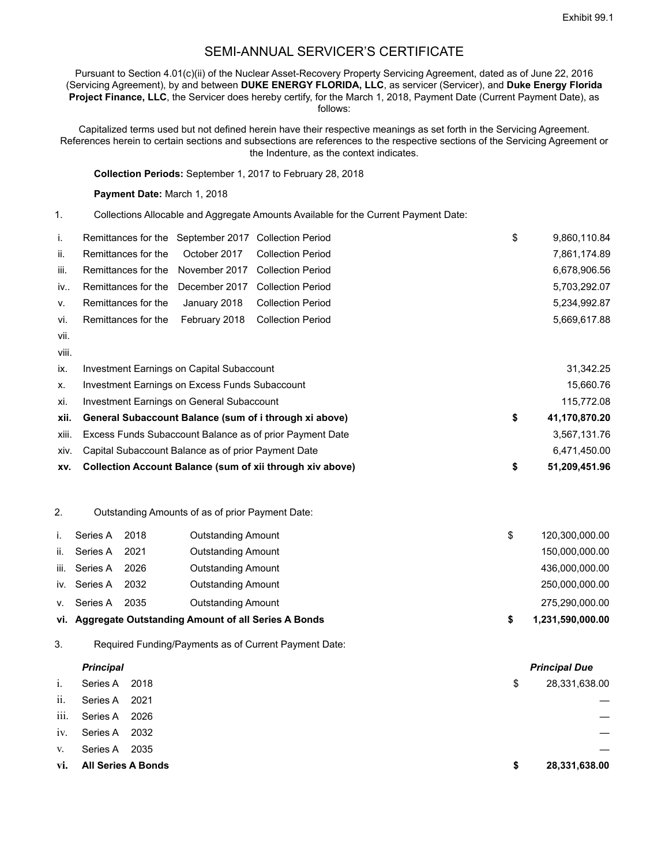## SEMI-ANNUAL SERVICER'S CERTIFICATE

Pursuant to Section 4.01(c)(ii) of the Nuclear Asset-Recovery Property Servicing Agreement, dated as of June 22, 2016 (Servicing Agreement), by and between **DUKE ENERGY FLORIDA, LLC**, as servicer (Servicer), and **Duke Energy Florida Project Finance, LLC**, the Servicer does hereby certify, for the March 1, 2018, Payment Date (Current Payment Date), as follows:

Capitalized terms used but not defined herein have their respective meanings as set forth in the Servicing Agreement. References herein to certain sections and subsections are references to the respective sections of the Servicing Agreement or the Indenture, as the context indicates.

**Collection Periods:** September 1, 2017 to February 28, 2018

**Payment Date:** March 1, 2018

1. Collections Allocable and Aggregate Amounts Available for the Current Payment Date:

| L.   | Remittances for the September 2017 Collection Period |  | \$ | 9,860,110.84 |
|------|------------------------------------------------------|--|----|--------------|
| ii.  | Remittances for the October 2017 Collection Period   |  |    | 7,861,174.89 |
| iii. | Remittances for the November 2017 Collection Period  |  |    | 6,678,906.56 |
| iv   | Remittances for the December 2017 Collection Period  |  |    | 5,703,292.07 |
| V.   | Remittances for the January 2018 Collection Period   |  |    | 5.234.992.87 |
| vi.  | Remittances for the February 2018 Collection Period  |  |    | 5.669.617.88 |
| vii. |                                                      |  |    |              |

viii.

| XV.   | Collection Account Balance (sum of xii through xiv above) | 51.209.451.96       |
|-------|-----------------------------------------------------------|---------------------|
| XIV.  | Capital Subaccount Balance as of prior Payment Date       | 6,471,450.00        |
| xiii. | Excess Funds Subaccount Balance as of prior Payment Date  | 3,567,131.76        |
| xii.  | General Subaccount Balance (sum of i through xi above)    | \$<br>41,170,870.20 |
| xi.   | Investment Earnings on General Subaccount                 | 115,772.08          |
| Х.    | Investment Earnings on Excess Funds Subaccount            | 15.660.76           |
| ix.   | Investment Earnings on Capital Subaccount                 | 31,342.25           |

2. Outstanding Amounts of as of prior Payment Date:

|      |              |      | vi. Aggregate Outstanding Amount of all Series A Bonds | 1,231,590,000.00 |
|------|--------------|------|--------------------------------------------------------|------------------|
| V.   | Series A     | 2035 | <b>Outstanding Amount</b>                              | 275,290,000.00   |
|      | iv. Series A | 2032 | <b>Outstanding Amount</b>                              | 250,000,000.00   |
| iii. | Series A     | 2026 | <b>Outstanding Amount</b>                              | 436,000,000.00   |
| ii.  | Series A     | 2021 | <b>Outstanding Amount</b>                              | 150,000,000.00   |
|      | Series A     | 2018 | <b>Outstanding Amount</b>                              | 120,300,000.00   |

3. Required Funding/Payments as of Current Payment Date:

|      | <b>Principal</b>          |    | <b>Principal Due</b> |
|------|---------------------------|----|----------------------|
| i.   | Series A 2018             | \$ | 28,331,638.00        |
| ii.  | Series A 2021             |    | —                    |
| iii. | Series A 2026             |    |                      |
| 1V.  | Series A 2032             |    |                      |
| V.   | Series A 2035             |    |                      |
| vi.  | <b>All Series A Bonds</b> | S  | 28,331,638.00        |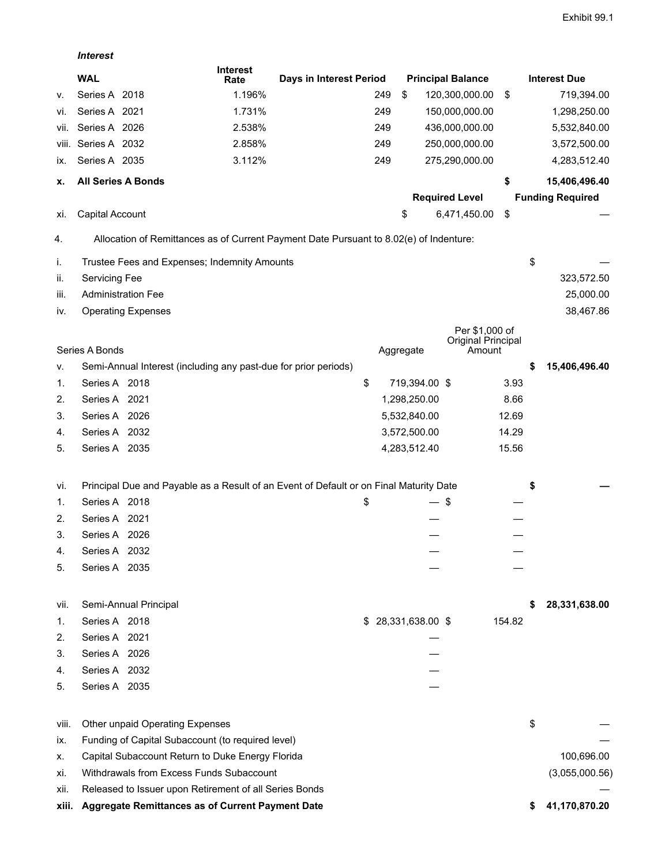*Interest*

|       | <b>WAL</b>                                                                             | <b>Interest</b><br>Rate | Days in Interest Period |     |                     | <b>Principal Balance</b>     |        | <b>Interest Due</b>     |
|-------|----------------------------------------------------------------------------------------|-------------------------|-------------------------|-----|---------------------|------------------------------|--------|-------------------------|
| ۷.    | Series A 2018                                                                          | 1.196%                  |                         | 249 | \$                  | 120,300,000.00               | \$     | 719,394.00              |
| VI.   | Series A 2021                                                                          | 1.731%                  |                         | 249 |                     | 150,000,000.00               |        | 1,298,250.00            |
| VII.  | Series A 2026                                                                          | 2.538%                  |                         | 249 |                     | 436,000,000.00               |        | 5,532,840.00            |
| VIII. | Series A 2032                                                                          | 2.858%                  |                         | 249 |                     | 250,000,000.00               |        | 3,572,500.00            |
| IX.   | Series A 2035                                                                          | 3.112%                  |                         | 249 |                     | 275,290,000.00               |        | 4,283,512.40            |
| х.    | <b>All Series A Bonds</b>                                                              |                         |                         |     |                     |                              | \$     | 15,406,496.40           |
|       |                                                                                        |                         |                         |     |                     | <b>Required Level</b>        |        | <b>Funding Required</b> |
| XI.   | Capital Account                                                                        |                         |                         |     | \$                  | 6,471,450.00                 | \$     |                         |
| 4.    | Allocation of Remittances as of Current Payment Date Pursuant to 8.02(e) of Indenture: |                         |                         |     |                     |                              |        |                         |
| İ.    | Trustee Fees and Expenses; Indemnity Amounts                                           |                         |                         |     |                     |                              |        | \$                      |
| ii.   | Servicing Fee                                                                          |                         |                         |     |                     |                              |        | 323,572.50              |
| iii.  | <b>Administration Fee</b>                                                              |                         |                         |     |                     |                              |        | 25,000.00               |
| IV.   | <b>Operating Expenses</b>                                                              |                         |                         |     |                     |                              |        | 38,467.86               |
|       |                                                                                        |                         |                         |     |                     | Per \$1,000 of               |        |                         |
|       | Series A Bonds                                                                         |                         |                         |     | Aggregate           | Original Principal<br>Amount |        |                         |
| v.    | Semi-Annual Interest (including any past-due for prior periods)                        |                         |                         |     |                     |                              |        | \$<br>15,406,496.40     |
| 1.    | Series A 2018                                                                          |                         | \$                      |     | 719,394.00 \$       |                              | 3.93   |                         |
| 2.    | Series A 2021                                                                          |                         |                         |     | 1,298,250.00        |                              | 8.66   |                         |
| 3.    | Series A 2026                                                                          |                         |                         |     | 5,532,840.00        |                              | 12.69  |                         |
| 4.    | Series A 2032                                                                          |                         |                         |     | 3,572,500.00        |                              | 14.29  |                         |
| 5.    | Series A 2035                                                                          |                         |                         |     | 4,283,512.40        |                              | 15.56  |                         |
| vi.   | Principal Due and Payable as a Result of an Event of Default or on Final Maturity Date |                         |                         |     |                     |                              |        | \$                      |
| 1.    | Series A 2018                                                                          |                         | \$                      |     | — \$                |                              |        |                         |
| 2.    | Series A 2021                                                                          |                         |                         |     |                     |                              |        |                         |
| 3.    | Series A 2026                                                                          |                         |                         |     |                     |                              |        |                         |
| 4.    | Series A 2032                                                                          |                         |                         |     |                     |                              |        |                         |
| 5.    | Series A 2035                                                                          |                         |                         |     |                     |                              |        |                         |
|       |                                                                                        |                         |                         |     |                     |                              |        |                         |
| VII.  | Semi-Annual Principal                                                                  |                         |                         |     |                     |                              |        | 28,331,638.00           |
| 1.    | Series A 2018                                                                          |                         |                         |     | $$28,331,638.00$ \$ |                              | 154.82 |                         |
| 2.    | Series A 2021                                                                          |                         |                         |     |                     |                              |        |                         |
| 3.    | Series A 2026                                                                          |                         |                         |     |                     |                              |        |                         |
| 4.    | Series A 2032                                                                          |                         |                         |     |                     |                              |        |                         |
| 5.    | Series A 2035                                                                          |                         |                         |     |                     |                              |        |                         |
| viii. | Other unpaid Operating Expenses                                                        |                         |                         |     |                     |                              |        | \$                      |
| IX.   | Funding of Capital Subaccount (to required level)                                      |                         |                         |     |                     |                              |        |                         |
| х.    | Capital Subaccount Return to Duke Energy Florida                                       |                         |                         |     |                     |                              |        | 100,696.00              |
| Xİ.   | Withdrawals from Excess Funds Subaccount                                               |                         |                         |     |                     |                              |        | (3,055,000.56)          |
| XII.  | Released to Issuer upon Retirement of all Series Bonds                                 |                         |                         |     |                     |                              |        |                         |
| xiii. | Aggregate Remittances as of Current Payment Date                                       |                         |                         |     |                     |                              |        | 41,170,870.20           |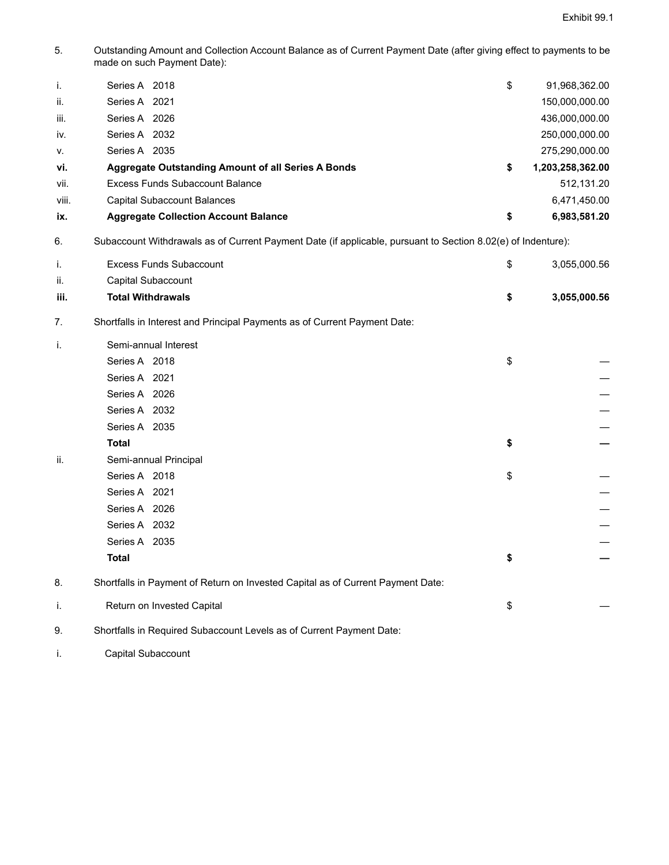5. Outstanding Amount and Collection Account Balance as of Current Payment Date (after giving effect to payments to be made on such Payment Date):

| j.    | Series A 2018                                             | \$<br>91,968,362.00    |
|-------|-----------------------------------------------------------|------------------------|
| ii.   | Series A 2021                                             | 150,000,000.00         |
| iii.  | Series A 2026                                             | 436,000,000.00         |
| iv.   | Series A 2032                                             | 250,000,000.00         |
| V.    | Series A 2035                                             | 275,290,000.00         |
| vi.   | <b>Aggregate Outstanding Amount of all Series A Bonds</b> | \$<br>1,203,258,362.00 |
| vii.  | Excess Funds Subaccount Balance                           | 512.131.20             |
| viii. | Capital Subaccount Balances                               | 6,471,450.00           |
| ix.   | <b>Aggregate Collection Account Balance</b>               | \$<br>6,983,581.20     |
|       |                                                           |                        |

6. Subaccount Withdrawals as of Current Payment Date (if applicable, pursuant to Section 8.02(e) of Indenture):

|      | Excess Funds Subaccount                                                   | \$. | 3.055.000.56 |
|------|---------------------------------------------------------------------------|-----|--------------|
| ii.  | Capital Subaccount                                                        |     |              |
| iii. | <b>Total Withdrawals</b>                                                  |     | 3.055.000.56 |
|      | Shortfalls in Interest and Principal Payments as of Current Payment Date: |     |              |

| i.  | Semi-annual Interest                                                            |    |
|-----|---------------------------------------------------------------------------------|----|
|     | Series A 2018                                                                   | \$ |
|     | Series A 2021                                                                   |    |
|     | Series A 2026                                                                   |    |
|     | Series A 2032                                                                   |    |
|     | Series A 2035                                                                   |    |
|     | <b>Total</b>                                                                    | \$ |
| ii. | Semi-annual Principal                                                           |    |
|     | Series A 2018                                                                   | \$ |
|     | Series A 2021                                                                   |    |
|     | Series A 2026                                                                   |    |
|     | Series A 2032                                                                   |    |
|     | Series A 2035                                                                   |    |
|     | <b>Total</b>                                                                    | \$ |
| 8.  | Shortfalls in Payment of Return on Invested Capital as of Current Payment Date: |    |
| i.  | Return on Invested Capital                                                      | \$ |
| 9.  | Shortfalls in Required Subaccount Levels as of Current Payment Date:            |    |

i. Capital Subaccount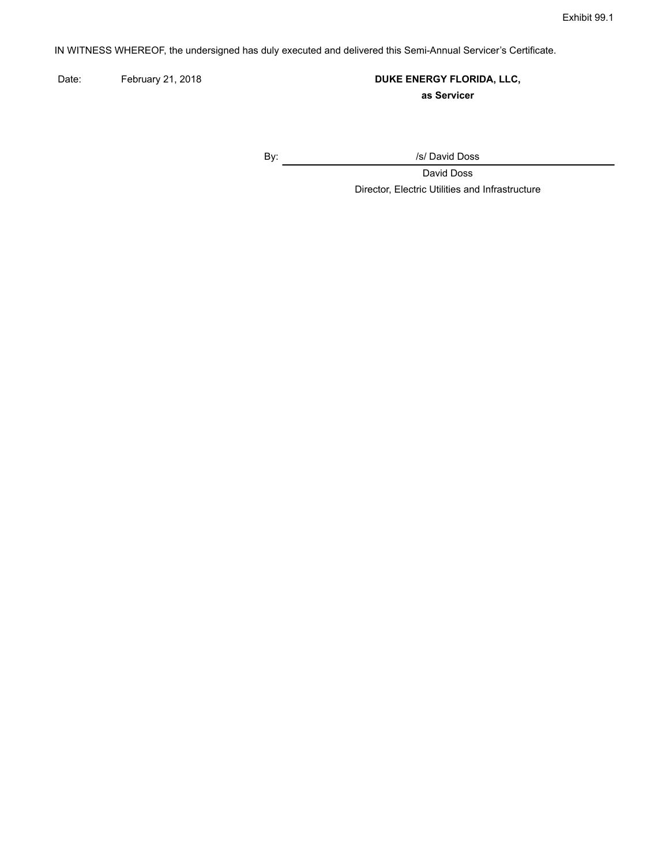IN WITNESS WHEREOF, the undersigned has duly executed and delivered this Semi-Annual Servicer's Certificate.

Date: February 21, 2018 **DUKE ENERGY FLORIDA, LLC, as Servicer**

By: /s/ David Doss

David Doss Director, Electric Utilities and Infrastructure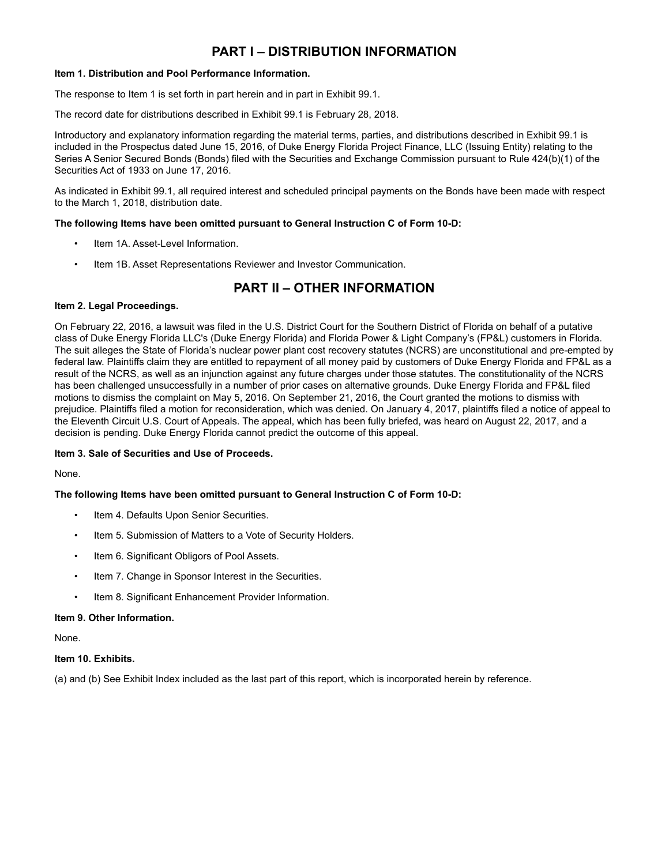## **PART I – DISTRIBUTION INFORMATION**

#### **Item 1. Distribution and Pool Performance Information.**

The response to Item 1 is set forth in part herein and in part in Exhibit 99.1.

The record date for distributions described in Exhibit 99.1 is February 28, 2018.

Introductory and explanatory information regarding the material terms, parties, and distributions described in Exhibit 99.1 is included in the Prospectus dated June 15, 2016, of Duke Energy Florida Project Finance, LLC (Issuing Entity) relating to the Series A Senior Secured Bonds (Bonds) filed with the Securities and Exchange Commission pursuant to Rule 424(b)(1) of the Securities Act of 1933 on June 17, 2016.

As indicated in Exhibit 99.1, all required interest and scheduled principal payments on the Bonds have been made with respect to the March 1, 2018, distribution date.

### **The following Items have been omitted pursuant to General Instruction C of Form 10-D:**

- Item 1A. Asset-Level Information.
- Item 1B. Asset Representations Reviewer and Investor Communication.

## **PART II – OTHER INFORMATION**

### **Item 2. Legal Proceedings.**

On February 22, 2016, a lawsuit was filed in the U.S. District Court for the Southern District of Florida on behalf of a putative class of Duke Energy Florida LLC's (Duke Energy Florida) and Florida Power & Light Company's (FP&L) customers in Florida. The suit alleges the State of Florida's nuclear power plant cost recovery statutes (NCRS) are unconstitutional and pre-empted by federal law. Plaintiffs claim they are entitled to repayment of all money paid by customers of Duke Energy Florida and FP&L as a result of the NCRS, as well as an injunction against any future charges under those statutes. The constitutionality of the NCRS has been challenged unsuccessfully in a number of prior cases on alternative grounds. Duke Energy Florida and FP&L filed motions to dismiss the complaint on May 5, 2016. On September 21, 2016, the Court granted the motions to dismiss with prejudice. Plaintiffs filed a motion for reconsideration, which was denied. On January 4, 2017, plaintiffs filed a notice of appeal to the Eleventh Circuit U.S. Court of Appeals. The appeal, which has been fully briefed, was heard on August 22, 2017, and a decision is pending. Duke Energy Florida cannot predict the outcome of this appeal.

#### **Item 3. Sale of Securities and Use of Proceeds.**

None.

### **The following Items have been omitted pursuant to General Instruction C of Form 10-D:**

- Item 4. Defaults Upon Senior Securities.
- Item 5. Submission of Matters to a Vote of Security Holders.
- Item 6. Significant Obligors of Pool Assets.
- Item 7. Change in Sponsor Interest in the Securities.
- Item 8. Significant Enhancement Provider Information.

#### **Item 9. Other Information.**

None.

#### **Item 10. Exhibits.**

(a) and (b) See Exhibit Index included as the last part of this report, which is incorporated herein by reference.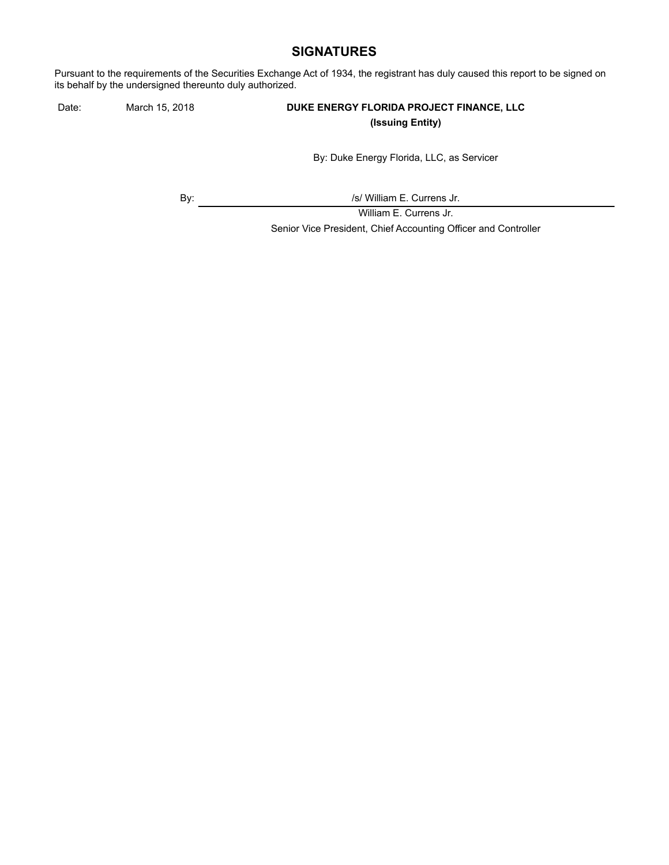## **SIGNATURES**

Pursuant to the requirements of the Securities Exchange Act of 1934, the registrant has duly caused this report to be signed on its behalf by the undersigned thereunto duly authorized.

### Date: March 15, 2018 **DUKE ENERGY FLORIDA PROJECT FINANCE, LLC (Issuing Entity)**

By: Duke Energy Florida, LLC, as Servicer

By:  $\sqrt{s}$  /s/ William E. Currens Jr.

William E. Currens Jr. Senior Vice President, Chief Accounting Officer and Controller